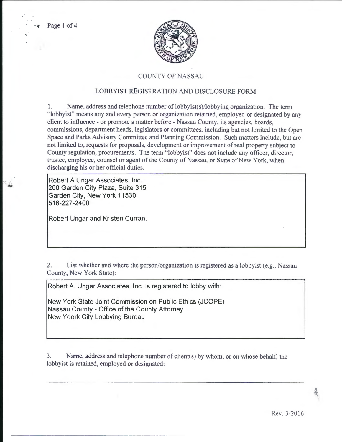\



# COUNTY OF NASSAU

# LOBBYIST REGISTRA TlON AND DISCLOSURE FORM

I. Name, address and telephone number of lobbyist(s)/lobbying organization. The term "lobbyist" means any and every person or organization retained, employed or designated by any client to influence- or promote a matter before- Nassau County, its agencies, boards, commissions, department heads, legislators or committees, including but not limited to the Open Space and Parks Advisory Committee and Planning Commission. Such matters include, but arc not limited to, requests for proposals, development or improvement of real property subject to County regulation, procurements. The term "lobbyist" does not include any officer, director, trustee, employee, counsel or agent of the County of Nassau, or State of New York, when discharging his or her official duties.

Robert A Ungar Associates, Inc. 200 Garden City Plaza, Suite 315 Garden City, New York 11530 516-227-2400

Robert Ungar and Kristen Curran.

---------- ------·--·-------··-·

2. List whether and where the person/organization is registered as a lobbyist (e.g., Nassau County, New York State):

Robert A. Ungar Associates, Inc. is registered to lobby with :

New York State Joint Commission on Public Ethics (JCOPE) Nassau County - Office of the County Attorney New Yoork City Lobbying Bureau

3. Name, address and telephone number of client(s) by whom. or on whose behalf. the lobbyist is retained, employed or designated: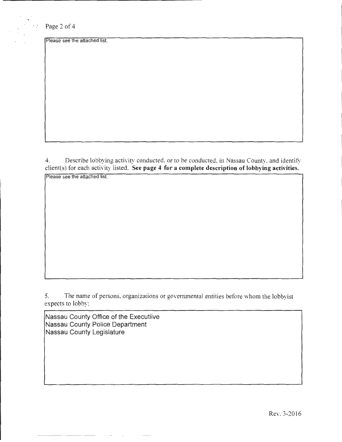Page 2 of 4

Please see the attached list.

4. Describe lobbying activity conducted. or to be conducted, in Nassau County, and identify client(s) for each activity listed. See page 4 for a complete description of lobbying activities.

Please see the attached list.

5. The name of persons, organizations or governmental entities before whom the lobbyist expects to lobby:

Nassau County Office of the Executiive Nassau County Police Department Nassau County Legislature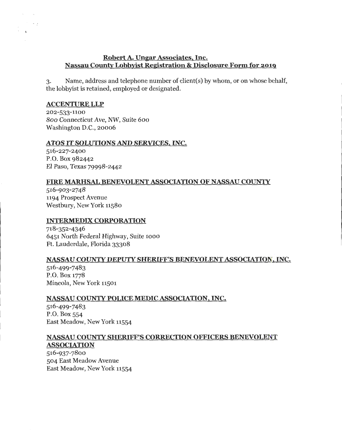# Robert A. Ungar Associates, Inc. Nassau County Lobbyist Registration & Disclosure Form for 2019

3. Name, address and telephone number of client(s) by whom, or on whose behalf, the lobbyist is retained, employed or designated.

### ACCENTURE LLP

202-533-1100 Boo Connecticut Ave, NW, Suite 6oo Washington D.C., 20006

### ATOS IT SOLUTIONS AND SERVICES, INC.

516-227-2400 P.O. Box 982442 El Paso, Texas 79998-2442

# FIRE MARHSAL BENEVOLENT ASSOCIATION OF NASSAU COUNTY

516-903-2748 1194 Prospect Avenue Westbury, New York 11580

# INTERMEDIX CORPORATION

718-352-4346 6451 North Federal Highway, Suite 1000 Ft. Lauderdale, Florida 33308

# NASSAU COUNTY DEPUTY SHERIFF'S BENEVOLENT ASSOCIATION, INC.

516-499-7483 P.O. Box 1778 Mineola, New York 11501

### NASSAU COUNTY POLICE MEDIC ASSOCIATION, INC.

516-499-7483 P.O. Box 554 East Meadow, New York 11554

# NASSAU COUNTY SHERIFF'S CORRECTION OFFICERS BENEVOLENT ASSOCIATION

516-937-7800 504 East Meadow Avenue East Meadow, New York 11554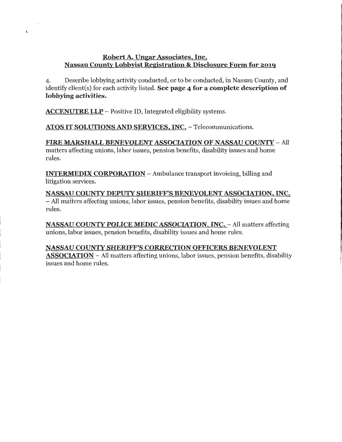# Robert A. Ungar Associates, Inc. Nassau County Lobbyist Registration & Disclosure Form for 2019

4. Describe lobbying activity conducted, or to be conducted, in Nassau County, and identify client(s) for each activity listed. See page 4 for a complete description of lobbying activities.

ACCENUTRE LLP - Positive ID, Integrated eligibility systems.

 $\mathcal{L}_{\text{max}}$  and  $\mathcal{L}_{\text{max}}$ 

 $\sim$   $^{-1}$ 

ATOS IT SOLUTIONS AND SERVICES, INC. - Telecommunications.

FIRE MARSHALL BENEVOLENT ASSOCIATION OF NASSAU COUNTY- All matters affecting unions, labor issues, pension benefits, disability issues and home rules.

INTERMEDIX CORPORATION -Ambulance transport invoicing, billing and litigation services.

NASSAU COUNTY DEPUTY SHERIFF'S BENEVOLENT ASSOCIATION, INC. - All matters affecting unions, labor issues, pension benefits, disability issues and home rules.

NASSAU COUNTY POLICE MEDIC ASSOCIATION, INC. -All matters affecting unions, labor issues, pension benefits, disability issues and home rules.

NASSAU COUNTY SHERIFF'S CORRECTION OFFICERS BENEVOLENT ASSOCIATION - All matters affecting unions, labor issues, pension benefits, disability issues and home rules.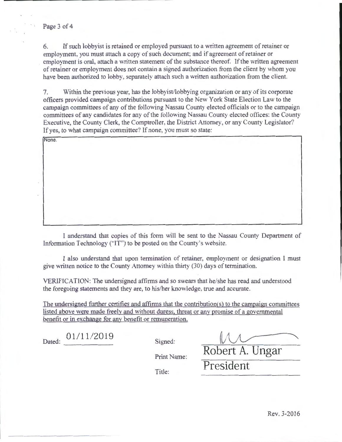6. If such lobbyist is retained or employed pursuant to a written agreement of retainer or employment, you must attach a copy of such document; and if agreement of retainer or employment is oral, attach a written statement of the substance thereof. If the written agreement of retainer or employment does not contain a signed authorization from the client by whom you have been authorized to lobby. separately attach such a written authorization from the client.

7. Within the previous year. has the lobbyist/lobbying organization or any of its corporate officers provided campaign contributions pursuant to the New York State Election Law to the campaign committees of any of the following Nassau County elected officials or to the campaign committees of any candidates tor any of the following Nassau County elected offices: the County Executive, the County Clerk, the Comptroller, the District Attorney, or any County Legislator? If yes, to what campaign committee? If none. you must so state:

I understand that copies of this form will be sent to the Nassau County Department of Information Technology ("'IT') to be posted on the County's website.

I also understand that upon termination of retainer, employment or designation I must give written notice to the County Attorney within thirty (30) days of termination.

VERIFICATION: The undersigned affirms and so swears that he/she has read and understood the foregoing statements and they are, to his/her knowledge, true and accurate.

The undersigned further certifies and affirms that the contribution(s) to the campaign committees listed above were made freely and without duress. threat or anv promise of a governmental benefit or in exchange for any benefit or remuneration.

Dated: 01/11/2019 Signed:

**Robert A. Ungar** 

Print Name:

Title:

**President**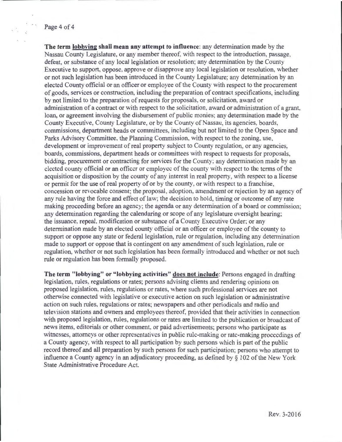#### Page 4 of 4

**The term lobbying shall mean any attempt to influence:** any determination made by the Nassau County Legislature, or any member thereof, with respect to the introduction, passage, defeat, or substance of any local legislation or resolution; any determination by the County Executive to support, oppose, approve or disapprove any local legislation or resolution, whether or not such legislation has been introduced in the County Legislature; any determination by an elected County official or an officer or employee of the County with respect to the procurement of goods, services or construction, including the preparation of contract specifications, including by not limited to the preparation of requests for proposals, or solicitation, award or administration of a contract or with respect to the solicitation, award or administration of a grant, loan, or agreement involving the disbursement of public monies; any determination made by the County Executive, County Legislature, or by the County of Nassau, its agencies, boards, commissions, department heads or committees, including but not limited to the Open Space and Parks Advisory Committee. the Planning Commission, with respect to the zoning, use, development or improvement of real property subject to County regulation, or any agencies, boards, commissions, department heads or committees with respect to requests for proposals, bidding, procurement or contracting for services for the County; any determination made by an elected county official or an officer or employee of the county with respect to the terms of the acquisition or disposition by the county of any interest in real property, with respect to a license or permit for the use of real property of or by the county, or with respect to a franchise, concession or revocable consent; the proposal, adoption, amendment or rejection by an agency of any rule having the force and effect of law; the decision to hold, timing or outcome of any rate making proceeding before an agency; the agenda or any determination of a board or commission; any determination regarding the calendaring or scope of any legislature oversight hearing; the issuance, repeal. modification or substance of a County Executive Order; or any determination made by an elected county official or an officer or employee of the county to support or oppose any state or federal legislation, rule or regulation, including any determination made to support or oppose that is contingent on any amendment of such legislation, rule or regulation, whether or not such legislation has been formally introduced and whether or not such rule or regulation has been formally proposed.

**The term "lobbying" or "lobbying activities" does not include:** Persons engaged in drafting legislation, rules, regulations or rates; persons advising clients and rendering opinions on proposed legislation, rules, regulations or rates, where such professional services are not otherwise connected with legislative or executive action on such legislation or administrative action on such rules, regulations or rates; newspapers and other periodicals and radio and television stations and owners and employees thereof, provided that their activities in connection with proposed legislation, rules, regulations or rates are limited to the publication or broadcast of news items, editorials or other comment, or paid advertisements; persons who participate as witnesses, attorneys or other representatives in public rule-making or rate-making proceedings of a County agency, with respect to all participation by such persons which is part of the public record thereof and all preparation by such persons for such participation; persons who attempt to influence a County agency in an adjudicatory proceeding, as defined by § 102 of the New York State Administrative Procedure Act.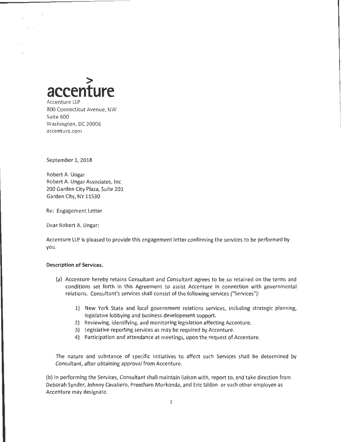

800 Connecticut Avenue, NW Suite 600 Washington, DC 20006 accenture.com

September 1, 2018

Robert A. Ungar Robert A. Ungar Associates, Inc 200 Garden City Plaza, Suite 201 Garden City, NY 11530

Re: Engagement Letter

Dear Robert A. Ungar:

Accenture lLP is pleased to provide this engagement letter confirming the services to be performed by you.

#### Description of Services.

- (a) Accenture hereby retains Consultant and Consultant agrees to be so retained on the terms and conditions set forth in this Agreement to assist Accenture in connection with governmental relations. Consultant's services shall consist of the following services ("Services"):
	- 1) New York State and local government relations services, including strategic planning, legislative lobbying and business development support.
	- 2) Reviewing, identifying, and monitoring legislation affecting Accenture.
	- 3) legislative reporting services as may be required by Accenture.
	- 4) Participation and attendance at meetings, upon the request of Accenture.

The nature and substance of specific initiatives to affect such Services shall be determined by Consultant, after obtaining approval from Accenture.

(b) In performing the Services, Consultant shall maintain liaison with, report to, and take direction from Deborah Synder, Johnny Cavaliere, Preetham Morkonda, and Eric Sildon or such other employee as Accenture may designate.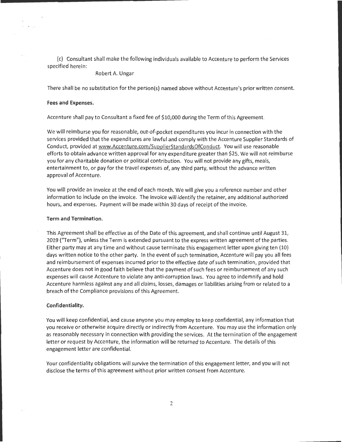(c) Consultant shall make the following individuals available to Accenture to perform the Services specified herein:

#### Robert A. Ungar

There shall be no substitution for the person(s) named above without Accenture's prior written consent.

#### **Fees and Expenses.**

 $\mathbf{v} = \mathbf{v} \cdot \mathbf{v}$ 

Accenture shall pay to Consultant a fixed fee of \$10,000 during the Term of this Agreement.

We will reimburse you for reasonable, out-of-pocket expenditures you incur in connection with the services provided that the expenditures are lawful and comply with the Accenture Supplier Standards of Conduct, provided at www.Accenture.com/SupplierStandardsOfConduct. You will use reasonable efforts to obtain advance written approval for any expenditure greater than \$25. We will not reimburse you for any charitable donation or political contribution. You will not provide any gifts, meals, entertainment to, or pay for the travel expenses of, any third party, without the advance written approval of Accenture.

You will provide an invoice at the end of each month. We will give you a reference number and other information to include on the invoice. The invoice will identify the retainer, any additional authorized hours, and expenses. Payment will be made within 30 days of receipt of the invoice.

#### **Term and Termination.**

This Agreement shall be effective as of the Date of this agreement, and shall continue until August 31, 2019 ("Term"), unless the Term is extended pursuant to the express written agreement of the parties. Either party may at any time and without cause terminate this engagement letter upon giving ten (10) days written notice to the other party. In the event of such termination, Accenture will pay you all fees and reimbursement of expenses incurred prior to the effective date of such termination, provided that Accenture does not in good faith believe that the payment of such fees or reimbursement of any such expenses will cause Accenture to violate any anti-corruption laws. You agree to indemnify and hold Accenture harmless against any and all claims, losses, damages or liabilities arising from or related to a breach of the Compliance provisions of this Agreement.

#### **Confidentiality.**

You will keep confidential, and cause anyone you may employ to keep confidential, any information that you receive or otherwise acquire directly or indirectly from Accenture. You may use the information only as reasonably necessary in connection with providing the services. At the termination of the engagement letter or request by Accenture, the information will be returned to Accenture. The details of this engagement letter are confidential.

Your confidentiality obligations will survive the termination of this engagement letter, and you will not disclose the terms of this agreement without prior written consent from Accenture.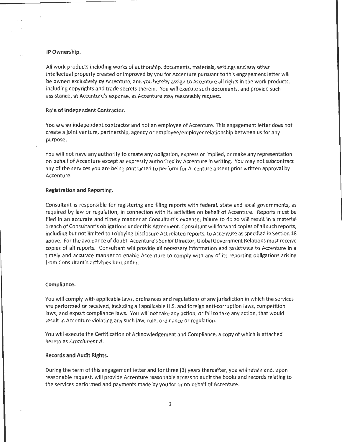#### **IP Ownership.**

All work products including works of authorship, documents, materials, writings and any other intellectual property created or improved by you for Accenture pursuant to this engagement letter will be owned exclusively by Accenture, and you hereby assign to Accenture all rights in the work products, including copyrights and trade secrets therein. You will execute such documents, and provide such assistance, at Accenture's expense, as Accenture may reasonably request.

#### **Role of Independent Contractor.**

You are an independent contractor and not an employee of Accenture. This engagement letter does not create a joint venture, partnership, agency or employee/employer relationship between us for any purpose.

You will not have any authority to create any obligation, express or implied, or make any representation on behalf of Accenture except as expressly authorized by Accenture in writing. You may not subcontract any of the services you are being contracted to perform for Accenture absent prior written approval by Accenture.

#### **Registration and Reporting.**

Consultant is responsible for registering and filing reports with federal, state and local governments, as required by law or regulation, in connection with its activities on behalf of Accenture. Reports must be filed in an accurate and timely manner at Consultant's expense; failure to do so will result in a material breach of Consultant's obligations under this Agreement. Consultant will forward copies of all such reports, including but not limited to Lobbying Disclosure Act related reports, to Accenture as specified in Section 18 above. For the avoidance of doubt, Accenture's Senior Director, Global Government Relations must receive copies of all reports. Consultant will provide all necessary information and assistance to Accenture in a timely and accurate manner to enable Accenture to comply with any of its reporting obligations arising from Consultant's activities hereunder.

#### **Compliance.**

You will comply with applicable laws, ordinances and regulations of any jurisdiction in which the services are performed or received, including all applicable U.S. and foreign anti-corruption laws, competition laws, and export compliance laws. You will not take any action, or fail to take any action, that would result in Accenture violating any such law, rule, ordinance or regulation.

You will execute the Certification of Acknowledgement and Compliance, a copy of which is attached hereto as *Attachment* A.

#### **Records and Audit Rights.**

During the term of this engagement letter and for three (3) years thereafter, you will retain and, upon reasonable request, will provide Accenture reasonable access to audit the books and records relating to the services performed and payments made by you for or on behalf of Accenture.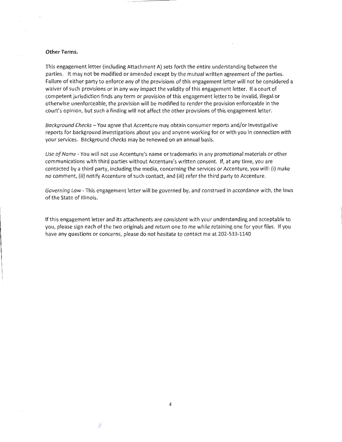#### **Other Terms.**

This engagement letter (including Attachment A) sets forth the entire understanding between the parties. It may not be modified or amended except by the mutual written agreement of the parties. Failure of either party to enforce any of the provisions of this engagement letter will not be considered a waiver of such provisions or in any way impact the validity of this engagement letter. If a court of competent jurisdiction finds any term or provision of this engagement letter to be invalid, illegal or otherwise unenforceable, the provision will be modified to render the provision enforceable in the court's opinion, but such a finding will not affect the other provisions of this engagement letter.

Background Checks- You agree that Accenture may obtain consumer reports and/or investigative reports for background investigations about you and anyone working for or with you in connection with your services. Background checks may be renewed on an annual basis.

Use of Name- You will not use Accenture's name or trademarks in any promotional materials or other communications with third parties without Accenture's written consent. If, at any time, you are contacted by a third party, including the media, concerning the services or Accenture, you will: (i) make no comment, (ii) notify Accenture of such contact, and (iii) refer the third party to Accenture.

Governing Law- This engagement letter will be governed by, and construed in accordance with, the laws of the State of Illinois.

If this engagement letter and its attachments are consistent with your understanding and acceptable to you, please sign each of the two originals and return one to me while retaining one for your files. If you have any questions or concerns, please do not hesitate to contact me at 202-533-1140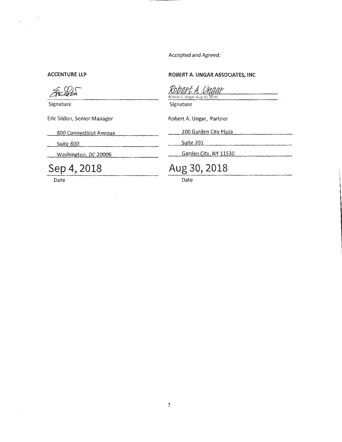Accepted and Agreed:

Filles

Signature Signature Signature

Eric Sildon, Senior Manager Robert A. Ungar, Partner

# **ACCENTURE LLP ROBERT A. UNGAR ASSOCIATES, INC**

Robert A. Ungar

800 Connecticut Avenue 200 Garden City Plaza

Suite 600 Suite 201

Washington, DC 20006 Garden City, NY 11530

**Sep 4, 2018 Aug 30,2018** 

Date **Date** Date **Date**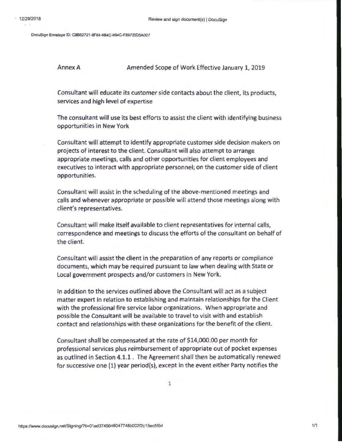Docu\$ign Envelope ID: C8B52721-8F64-4B4C-994C-F89725D5A007

AnnexA Amended Scope of Work Effective January 1, 2019

Consultant will educate its customer side contacts about the client, its products, services and high level of expertise

The consultant will use its best efforts to assist the client with identifying business opportunities in New York

Consultant will attempt to identify appropriate customer side decision makers on projects of interest to the client. Consultant will also attempt to arrange appropriate meetings, calls and other opportunities for client employees and executives to interact with appropriate personnel; on the customer side of client opportunities.

Consultant will assist in the scheduling of the above-mentioned meetings and calls and whenever appropriate or possible will attend those meetings along with client's representatives.

Consultant will make itself available to client representatives for internal calls, correspondence and meetings to discuss the efforts of the consultant on behalf of the client.

Consultant will assist the client in the preparation of any reports or compliance documents, which may be required pursuant to law when dealing with State or Local government prospects and/or customers in New York.

In addition to the services outlined above the Consultant will act as a subject matter expert in relation to establishing and maintain relationships for the Client with the professional fire service labor organizations. When appropriate and possible the Consultant will be available to travel to visit with and establish contact and relationships with these organizations for the benefit of the client.

Consultant shall be compensated at the rate of \$14,000.00 per month for professional services plus reimbursement of appropriate out of pocket expenses as outlined in Section 4.1.1. The Agreement shall then be automatically renewed for successive one (1) year period(s), except in the event either Party notifies the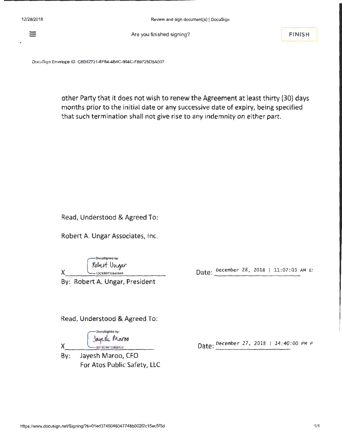

Are you finished signing? FINISH

DocuSign Envelope ID: C8B52721-8F64-4B4C-994C-F89725D5A007

other Party that it does not wish to renew the Agreement at least thirty (30) days months prior to the initial date or any successive date of expiry, being specified that such termination shall not give rise to any indemnity on either part.

Read, Understood & Agreed To:

Robert A. Ungar Associates, Inc.

Robert Ungar

By: Robert A. Ungar, President

Read, Understood & Agreed To:

cuSigned by: Janesle Maroo 80F8E98105BB453

x

By: Jayesh Maroa, CFO For Atos Public Safety, LLC

 $X \longrightarrow$   $\bigcup_{10 \text{CEB67328404AB...}}$  Date: December 28, 2018 | 11:07:03 AM E!

Date: 0ecember 27, 2018 | 14:40:00 PM P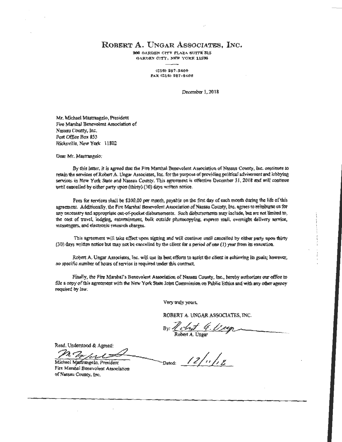# RoBERT A. UNGAR AssociATES, INc.

200 GARDEN CITY FLAZA SUITE 315 OARDEN OITY, NEW YORK 11530

> $(616)$   $927-2400$  $EXAMPLE (516) 227-8406$

> > December 1. 20 18

Mr. Michael Mastrangelo, President Fire Marshal Benevolent Association of Nassau County, Jnc. Post Office Box 853 HicksVJlle, New Yodc 11802

Dear Mr. Mastrangelo;

By this letter, it is agreed that the Fire Marshal Benevolent Association of Nassau County, Inc. continues to retain the services of Robert A. Ungar Associates, Jnc. for the purpose of providing political advisement and lobbying services in New York State and Nassau County. This agreement is effective December 31, 2018 and will continue until cancelled by either party upon (thirty) (30) days written notice.

Fees for services shall be \$300.00 per month, payable on the first day of each month during the life of this agreement. Additionally, the Fire Marshal Benevolent Association of Nassau County, Inc. agrees to reimburse us for any necessary and appropriate out-of-pocket disbursements. Such disbursements may include, but arc not limited to, the cost of travel, lodging, entertainment, bulk outside photocopying, express mail, overnight delivery service, mcs,engen, and electronic research charges.

This agreement will take effect upon signing and will continue until cancelled by either party upon thirty (30) days written notice but may not be cancelled by tbe client for a period of one (1) *year* fi'om its execution.

Robert A. Ungar Associates, Inc. will use its best efforts to assist the client in achieving its goals; however, no specific number of hours of service is required under this contract.

Finally, the Fire Marshal's Benevolent Association of Nassau County, Inc., hereby authorizes our office to file a copy of this agreement with the New York State Joint Commission on Public Ethics and with any other agency required by Jaw.

Vecy truly yours,

ROBERT A. UNGAR ASSOCIATES, INC.

By: <u>Newthen C. Usee</u>

Read, Understood & Agreed:

Michael Mastrangelo, President Fire Marshal Benevolent Association ofNassau County, Inc.

 $12/11/2$ Dated: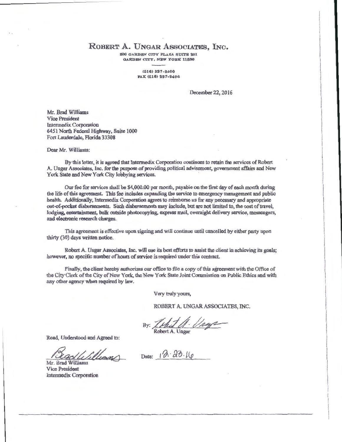# ROBERT A. UNGAR ASSOCIATES, INC.

200 GARDEN CITY PLAZA SUITE 201 GARDEN CITY, NEW YORK ll580

> $(516)$  227-2400 FAX (516) 227~2406

> > December22, 2016

i<br>i<br>i<br>i I I I I  $\mathbf{I}$ l<br>Linda<br>Linda<br>Linda

> 1  $\label{eq:2.1} \begin{split} \frac{1}{2} \left( \frac{1}{2} \sum_{i=1}^{n} \frac{1}{2} \left( \frac{1}{2} \sum_{i=1}^{n} \frac{1}{2} \left( \frac{1}{2} \sum_{i=1}^{n} \frac{1}{2} \left( \frac{1}{2} \sum_{i=1}^{n} \frac{1}{2} \right) \right) \right) \right) \\ & \times \frac{1}{2} \left( \sum_{i=1}^{n} \frac{1}{2} \sum_{i=1}^{n} \frac{1}{2} \sum_{i=1}^{n} \frac{1}{2} \left( \frac{1}{2} \sum_{i$ da pinambanan<br>L

 $\label{eq:2.1} \begin{split} \frac{1}{2} \left( \frac{1}{2} \right) & \leq \frac{1}{2} \left( \frac{1}{2} \right) \left( \frac{1}{2} \right) \left( \frac{1}{2} \right) \left( \frac{1}{2} \right) \left( \frac{1}{2} \right) \left( \frac{1}{2} \right) \left( \frac{1}{2} \right) \left( \frac{1}{2} \right) \left( \frac{1}{2} \right) \left( \frac{1}{2} \right) \left( \frac{1}{2} \right) \left( \frac{1}{2} \right) \left( \frac{1}{2} \right) \left( \frac{$ I I

Mr. Brad WiUiams Vice President Intennedix Corporation 6451 North Federal Highway, Suite 1000 Fort Lauderdale, Florida 33308

Dear Mr. Williams:

By this letter, it is agreed that Intermedix Corporation continues to retain the services of Robert A. Ungar Associates, Jnc. for the purpose of providing political advisement, government affairs and New York State and New York City lobbying services.

Our fee for services shall be \$4,000.00 per month, payable on the first day of each month during the life of this agreement. This fee includes expanding the service to emergency management and public health. Additionally, Intennedix. Corporation agrees to reimburse us for any necessary and appropriate out-of-pocket disbursements. Such disbursements may include, but are not limited to, the cost of travel, lodging, entertainment, bulk outside photocopying. express mail, overnight delivery service, messengers, and electronic research charges.

This agreement is effective upon signing and will continue until cancelled by either party upon thirty (30) days written notice.

Robert A. Ungar Associates, Inc. will use its best efforts to assist the client in achieving its goals; however, no specific number of hours of service is required under this contract

Finally. the client hereby authorizes our office to file a copy of this agreement with the Office of the City Clerk of the City of New York, the New York State Joint Commission on Public Ethics and with any other agency when required by law.

Very truly yours,

ROBERT A. UNGAR ASSOCIATES, INC.

Robert A. Ungar

Read, Understood and Agreed to:

Rad Williams

Vice President Intermedix Corporation

Date: 12.23.16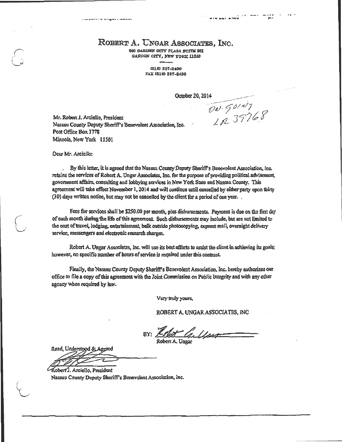, ...<br>1948 -<br>1948 -

# ROBERT A. UNGAR ASSOCIATES, INC.

%00 GANDEN OITY PLAZA SUITE 201 GARDEN CITY, NEW YORK 11530

> C510) 227-2400 FAX (516) 297-2406

> > October 20, 2014  $\frac{1}{200.90141}$

Mr. Robert J. Arciello, President Nassau County Deputy Sheriff's Benevolent Association, Inc. Post Office Box 1778 Mineola, New York lJSOl

Ocur Mr. Arciello:

By this letter, it is agreed that the Nassau County Deputy Sheriff's Benevolent Association, Inc. retains the services of Robert A. Ungar Associates. Inc. for the purpose of providing political advisement, government affairs, consulting and lobbying services in New York State and Nassau County. This agreement will take effect November 1, 2014 and will continue until cancelled by either party upon thirty (30) days written notice, but may not be cancelled by the client for a period of one year. .

Fees for services shall be \$250.00 per month, plus disbursements. Payment is due on the first day of each month during the life of this agreement. Such disbursements may include, but are not limited to the cost of travel, lodging, entertainment, bulk outside photocopying, express mail, overnight delivery service, messengers and electronic research charges.

Robert A. Ungar Associates, Inc. will use its best efforts to assist the client in achieving its goals; however, no specific number of hours of service is required under this contract.

Finally, che Nassau County Deputy Sheriff's Benevolent Association, Inc. hereby authorizes our office to file a copy of this agrccmcot witb the *1oint* Commission *on* Public Integrity anci with arry other agency when required by law.

Very truly yours,

ROBERT A. UNGARASSOCIA TES, JNC

Robert G. Usan

Read, Understood & Agreed<br>
Fobert J. Arciello, President<br>
Nassau County Drawly Sheriff's Benevolcat A

Nassau County Deputy Sheriff's Benevolent Association, Inc.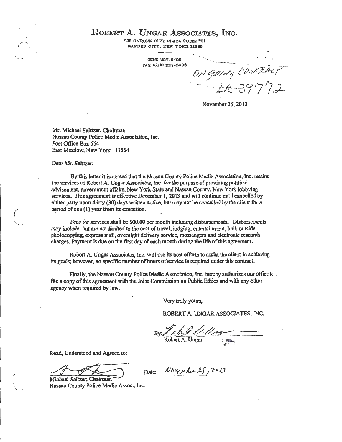# ROBERT A. UNGAR ASSOCIATES, INC.

200 GARDRN CITY PLAZA SUITE 201 GARDEN CITY, NEW YORK 11530

> (516) 227-2400 l".\X <5161 227-2406

.  $\overbrace{\phantom{aaaa}}^{\phantom{\dag}}$ ON GOING CONTRACT  $-4239772$ 

November25,2013

Mr. Michael Selttzer, Chairman Nassau County Police Medic Association, Inc. Post Office Box *554*  East Meadow, New York 11554

Dear Mr. Selttzer:

By this letter *it* is agreed that the Nassau County Police Medic Association, Inc. retains the services of Robert A. Ungar Associates, Inc. for the purpose of providing political advisement, government affairs, New York State and Nassau County. New York lobbying services. This agreement is effective December 1, 2013 and will continue until cancelled by either party upon thirty {30) days written notice, but may not be cancelled by the client for a period of one  $(1)$  year from its execution.

Fees for services shail be 500.00 per month including disbursements. Disbursements may include, but are not 1imited to the cost of travel, lodging, entertainmeni, bulk outside photocopying, express mail, overnight delivecy service, messengers and electronic research charges. Payment is due on the first day of each month during the life of this agreement.

Robert A. Ungar Associates, Inc. will use its best efforts to assist the client in achieving its goals; however, no specific number of hours of service is required under this contract.

Finally, the Nassau County Police Medic Association, Inc. hereby authorizes our office to. file a copy of this agreement with the Joint Commission on Public Ethics and with any other agency when required by law.

Very truly yours,

ROBERT A. UNGAR ASSOCIATES, INC.

Read, Understood and Agreed to:

~ Read, Understood and Agreed to:<br>Michael Seltzer, Chairman<br>Michael Seltzer, Chairman

Nassau County Police Medic Assoc., lnc.